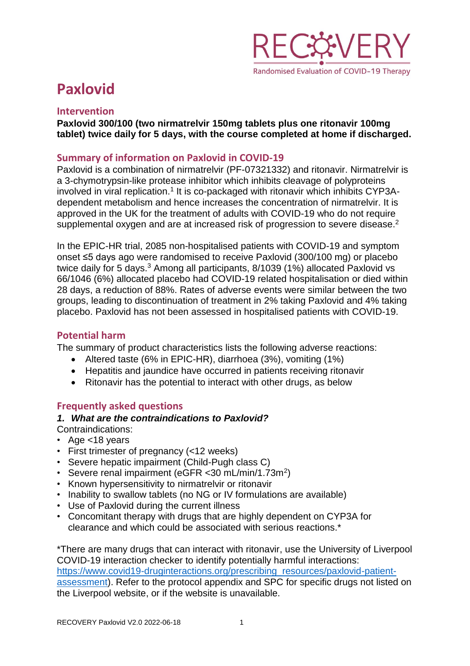

# **Paxlovid**

## **Intervention**

**Paxlovid 300/100 (two nirmatrelvir 150mg tablets plus one ritonavir 100mg tablet) twice daily for 5 days, with the course completed at home if discharged.**

# **Summary of information on Paxlovid in COVID-19**

Paxlovid is a combination of nirmatrelvir (PF-07321332) and ritonavir. Nirmatrelvir is a 3-chymotrypsin-like protease inhibitor which inhibits cleavage of polyproteins involved in viral replication.<sup>1</sup> It is co-packaged with ritonavir which inhibits CYP3Adependent metabolism and hence increases the concentration of nirmatrelvir. It is approved in the UK for the treatment of adults with COVID-19 who do not require supplemental oxygen and are at increased risk of progression to severe disease.<sup>2</sup>

In the EPIC-HR trial, 2085 non-hospitalised patients with COVID-19 and symptom onset ≤5 days ago were randomised to receive Paxlovid (300/100 mg) or placebo twice daily for 5 days.<sup>3</sup> Among all participants, 8/1039 (1%) allocated Paxlovid vs 66/1046 (6%) allocated placebo had COVID-19 related hospitalisation or died within 28 days, a reduction of 88%. Rates of adverse events were similar between the two groups, leading to discontinuation of treatment in 2% taking Paxlovid and 4% taking placebo. Paxlovid has not been assessed in hospitalised patients with COVID-19.

# **Potential harm**

The summary of product characteristics lists the following adverse reactions:

- Altered taste (6% in EPIC-HR), diarrhoea (3%), vomiting (1%)
- Hepatitis and jaundice have occurred in patients receiving ritonavir
- Ritonavir has the potential to interact with other drugs, as below

# **Frequently asked questions**

## *1. What are the contraindications to Paxlovid?*

Contraindications:

- Age <18 years
- First trimester of pregnancy (<12 weeks)
- Severe hepatic impairment (Child-Pugh class C)
- Severe renal impairment (eGFR < 30 mL/min/1.73m<sup>2</sup>)
- Known hypersensitivity to nirmatrelvir or ritonavir
- Inability to swallow tablets (no NG or IV formulations are available)
- Use of Paxlovid during the current illness
- Concomitant therapy with drugs that are highly dependent on CYP3A for clearance and which could be associated with serious reactions.\*

\*There are many drugs that can interact with ritonavir, use the University of Liverpool COVID-19 interaction checker to identify potentially harmful interactions: [https://www.covid19-druginteractions.org/prescribing\\_resources/paxlovid-patient](https://www.covid19-druginteractions.org/prescribing_resources/paxlovid-patient-assessment)[assessment\)](https://www.covid19-druginteractions.org/prescribing_resources/paxlovid-patient-assessment). Refer to the protocol appendix and SPC for specific drugs not listed on the Liverpool website, or if the website is unavailable.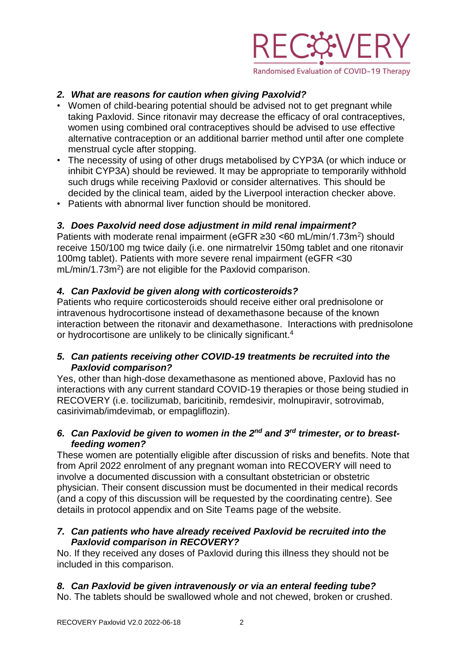

# *2. What are reasons for caution when giving Paxolvid?*

- Women of child-bearing potential should be advised not to get pregnant while taking Paxlovid. Since ritonavir may decrease the efficacy of oral contraceptives, women using combined oral contraceptives should be advised to use effective alternative contraception or an additional barrier method until after one complete menstrual cycle after stopping.
- The necessity of using of other drugs metabolised by CYP3A (or which induce or inhibit CYP3A) should be reviewed. It may be appropriate to temporarily withhold such drugs while receiving Paxlovid or consider alternatives. This should be decided by the clinical team, aided by the Liverpool interaction checker above.
- Patients with abnormal liver function should be monitored.

## *3. Does Paxolvid need dose adjustment in mild renal impairment?*

Patients with moderate renal impairment (eGFR ≥30 <60 mL/min/1.73m<sup>2</sup>) should receive 150/100 mg twice daily (i.e. one nirmatrelvir 150mg tablet and one ritonavir 100mg tablet). Patients with more severe renal impairment (eGFR <30 mL/min/1.73m<sup>2</sup>) are not eligible for the Paxlovid comparison.

#### *4. Can Paxlovid be given along with corticosteroids?*

Patients who require corticosteroids should receive either oral prednisolone or intravenous hydrocortisone instead of dexamethasone because of the known interaction between the ritonavir and dexamethasone. Interactions with prednisolone or hydrocortisone are unlikely to be clinically significant.<sup>4</sup>

## *5. Can patients receiving other COVID-19 treatments be recruited into the Paxlovid comparison?*

Yes, other than high-dose dexamethasone as mentioned above, Paxlovid has no interactions with any current standard COVID-19 therapies or those being studied in RECOVERY (i.e. tocilizumab, baricitinib, remdesivir, molnupiravir, sotrovimab, casirivimab/imdevimab, or empagliflozin).

#### *6. Can Paxlovid be given to women in the 2nd and 3rd trimester, or to breastfeeding women?*

These women are potentially eligible after discussion of risks and benefits. Note that from April 2022 enrolment of any pregnant woman into RECOVERY will need to involve a documented discussion with a consultant obstetrician or obstetric physician. Their consent discussion must be documented in their medical records (and a copy of this discussion will be requested by the coordinating centre). See details in protocol appendix and on Site Teams page of the website.

#### *7. Can patients who have already received Paxlovid be recruited into the Paxlovid comparison in RECOVERY?*

No. If they received any doses of Paxlovid during this illness they should not be included in this comparison.

## *8. Can Paxlovid be given intravenously or via an enteral feeding tube?*

No. The tablets should be swallowed whole and not chewed, broken or crushed.